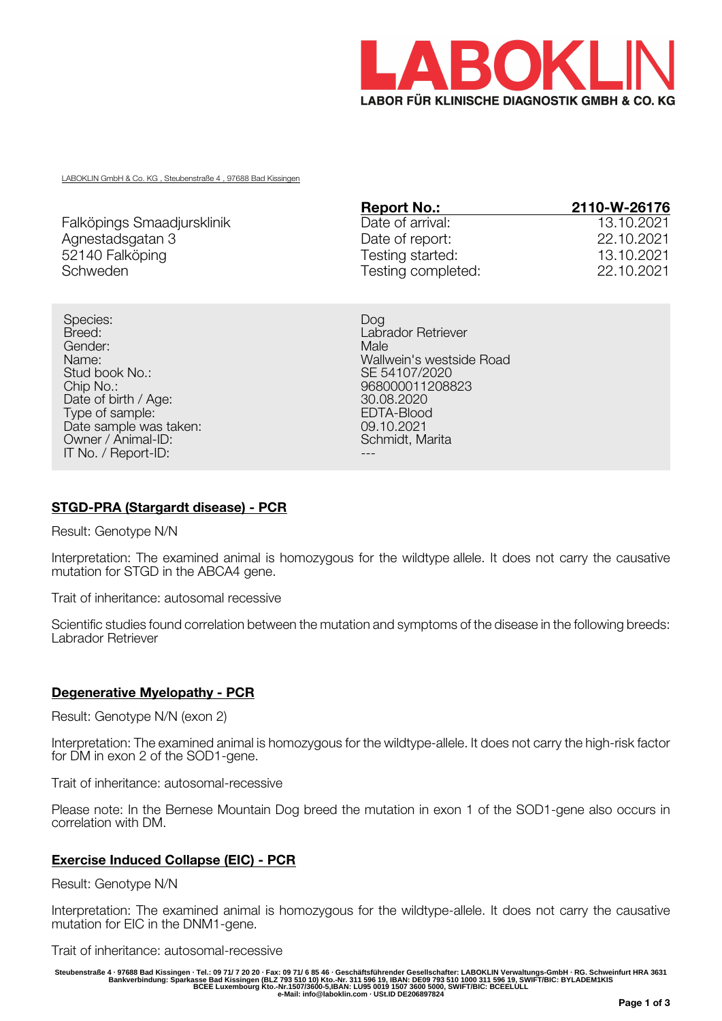

LABOKLIN GmbH & Co. KG , Steubenstraße 4 , 97688 Bad Kissingen

|                            | <b>Report No.:</b> | 2110-W-26176 |
|----------------------------|--------------------|--------------|
| Falköpings Smaadjursklinik | Date of arrival:   | 13.10.2021   |
| Agnestadsgatan 3           | Date of report:    | 22.10.2021   |
| 52140 Falköping            | Testing started:   | 13.10.2021   |
| Schweden                   | Testing completed: | 22.10.2021   |

Species: Dog Breed: **Labrador Retriever** Gender: Male Stud book No.: Stud book No.: SE 54107/2020<br>Chip No.: Se 54107/2020<br>Se 80000112088 Date of birth / Age: 30.08.2020<br>
Type of sample: 30.08.2020<br>
FDTA-Blood Type of sample: EDTA-Blood EDTA-Blood EDTA-Blood EDTA-Blood EDTA-Blood EDTA-Blood EDTA-Blood EDTA-Blood EDTA-Blood EDTA-Blood EDTA-Blood EDTA-Blood EDTA-Blood EDTA-Blood EDTA-Blood EDTA-Blood EDTA-Blood EDTA-Blood EDTA-Blo Date sample was taken: 09.10.2021<br>
Owner / Animal-ID: 09.10.2021 Owner / Animal-ID: IT No. / Report-ID:

Name: Wallwein's westside Road 968000011208823<br>30.08.2020

# **STGD-PRA (Stargardt disease) - PCR**

Result: Genotype N/N

Interpretation: The examined animal is homozygous for the wildtype allele. It does not carry the causative mutation for STGD in the ABCA4 gene.

Trait of inheritance: autosomal recessive

Scientific studies found correlation between the mutation and symptoms of the disease in the following breeds: Labrador Retriever

#### **Degenerative Myelopathy - PCR**

Result: Genotype N/N (exon 2)

Interpretation: The examined animal is homozygous for the wildtype-allele. It does not carry the high-risk factor for DM in exon 2 of the SOD1-gene.

Trait of inheritance: autosomal-recessive

Please note: In the Bernese Mountain Dog breed the mutation in exon 1 of the SOD1-gene also occurs in correlation with DM.

#### **Exercise Induced Collapse (EIC) - PCR**

Result: Genotype N/N

Interpretation: The examined animal is homozygous for the wildtype-allele. It does not carry the causative mutation for EIC in the DNM1-gene.

Trait of inheritance: autosomal-recessive

Steubenstraße 4 · 97688 Bad Kissingen · Tel.: 09 71/ 7 20 20 · Fax: 09 71/ 6 85 46 · Geschäftsführender Gesellschafter: LABOKLIN Verwaltungs-GmbH · RG. Schweinfurt HRA 3631<br>Bankverbindung: Sparkasse Bad Kissingen (BLZ 793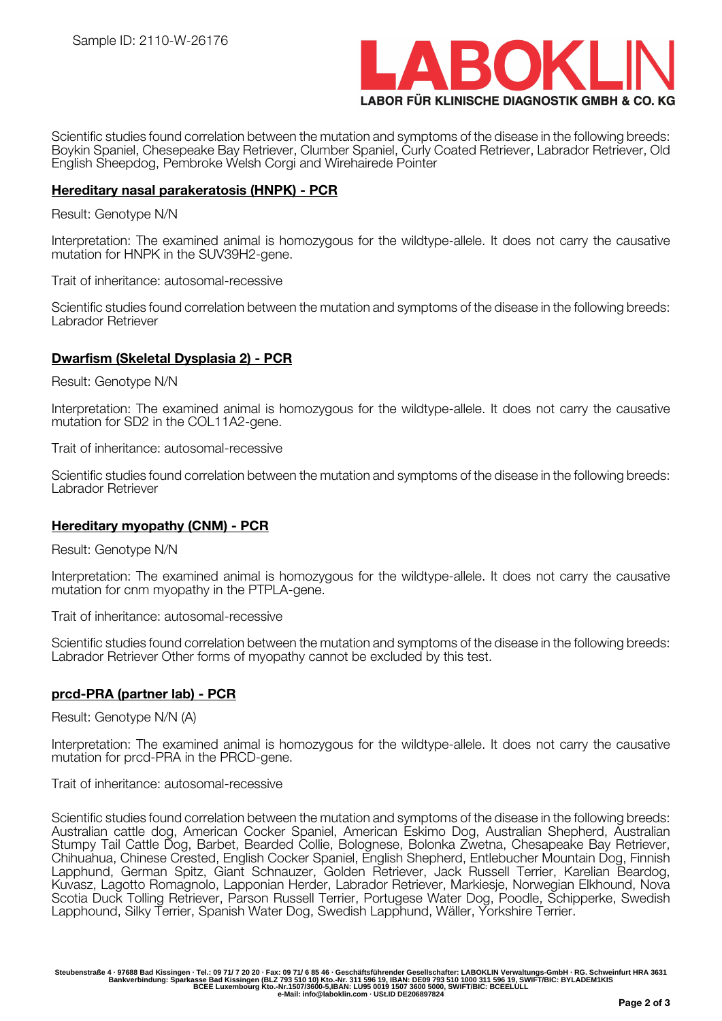

Scientific studies found correlation between the mutation and symptoms of the disease in the following breeds: Boykin Spaniel, Chesepeake Bay Retriever, Clumber Spaniel, Curly Coated Retriever, Labrador Retriever, Old English Sheepdog, Pembroke Welsh Corgi and Wirehairede Pointer

### **Hereditary nasal parakeratosis (HNPK) - PCR**

#### Result: Genotype N/N

Interpretation: The examined animal is homozygous for the wildtype-allele. It does not carry the causative mutation for HNPK in the SUV39H2-gene.

Trait of inheritance: autosomal-recessive

Scientific studies found correlation between the mutation and symptoms of the disease in the following breeds: Labrador Retriever

### **Dwarfism (Skeletal Dysplasia 2) - PCR**

Result: Genotype N/N

Interpretation: The examined animal is homozygous for the wildtype-allele. It does not carry the causative mutation for SD2 in the COL11A2-gene.

Trait of inheritance: autosomal-recessive

Scientific studies found correlation between the mutation and symptoms of the disease in the following breeds: Labrador Retriever

#### **Hereditary myopathy (CNM) - PCR**

Result: Genotype N/N

Interpretation: The examined animal is homozygous for the wildtype-allele. It does not carry the causative mutation for cnm myopathy in the PTPLA-gene.

Trait of inheritance: autosomal-recessive

Scientific studies found correlation between the mutation and symptoms of the disease in the following breeds: Labrador Retriever Other forms of myopathy cannot be excluded by this test.

#### **prcd-PRA (partner lab) - PCR**

Result: Genotype N/N (A)

Interpretation: The examined animal is homozygous for the wildtype-allele. It does not carry the causative mutation for prcd-PRA in the PRCD-gene.

Trait of inheritance: autosomal-recessive

Scientific studies found correlation between the mutation and symptoms of the disease in the following breeds: Australian cattle dog, American Cocker Spaniel, American Eskimo Dog, Australian Shepherd, Australian Stumpy Tail Cattle Dog, Barbet, Bearded Collie, Bolognese, Bolonka Zwetna, Chesapeake Bay Retriever, Chihuahua, Chinese Crested, English Cocker Spaniel, English Shepherd, Entlebucher Mountain Dog, Finnish Lapphund, German Spitz, Giant Schnauzer, Golden Retriever, Jack Russell Terrier, Karelian Beardog, Kuvasz, Lagotto Romagnolo, Lapponian Herder, Labrador Retriever, Markiesje, Norwegian Elkhound, Nova Scotia Duck Tolling Retriever, Parson Russell Terrier, Portugese Water Dog, Poodle, Schipperke, Swedish Lapphound, Silky Terrier, Spanish Water Dog, Swedish Lapphund, Wäller, Yorkshire Terrier.